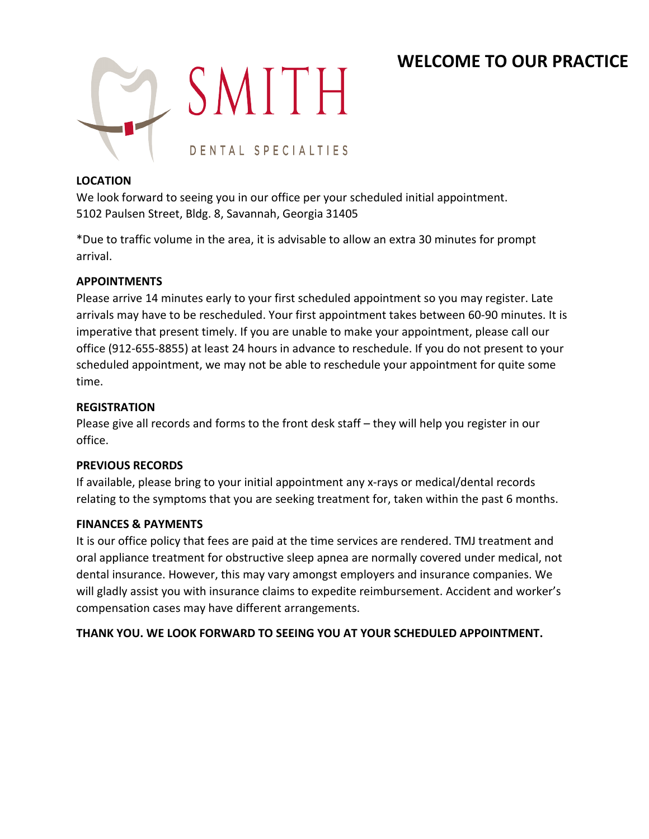# **WELCOME TO OUR PRACTICE**



### **LOCATION**

We look forward to seeing you in our office per your scheduled initial appointment. 5102 Paulsen Street, Bldg. 8, Savannah, Georgia 31405

\*Due to traffic volume in the area, it is advisable to allow an extra 30 minutes for prompt arrival.

### **APPOINTMENTS**

Please arrive 14 minutes early to your first scheduled appointment so you may register. Late arrivals may have to be rescheduled. Your first appointment takes between 60-90 minutes. It is imperative that present timely. If you are unable to make your appointment, please call our office (912-655-8855) at least 24 hours in advance to reschedule. If you do not present to your scheduled appointment, we may not be able to reschedule your appointment for quite some time.

### **REGISTRATION**

Please give all records and forms to the front desk staff – they will help you register in our office.

### **PREVIOUS RECORDS**

If available, please bring to your initial appointment any x-rays or medical/dental records relating to the symptoms that you are seeking treatment for, taken within the past 6 months.

### **FINANCES & PAYMENTS**

It is our office policy that fees are paid at the time services are rendered. TMJ treatment and oral appliance treatment for obstructive sleep apnea are normally covered under medical, not dental insurance. However, this may vary amongst employers and insurance companies. We will gladly assist you with insurance claims to expedite reimbursement. Accident and worker's compensation cases may have different arrangements.

### **THANK YOU. WE LOOK FORWARD TO SEEING YOU AT YOUR SCHEDULED APPOINTMENT.**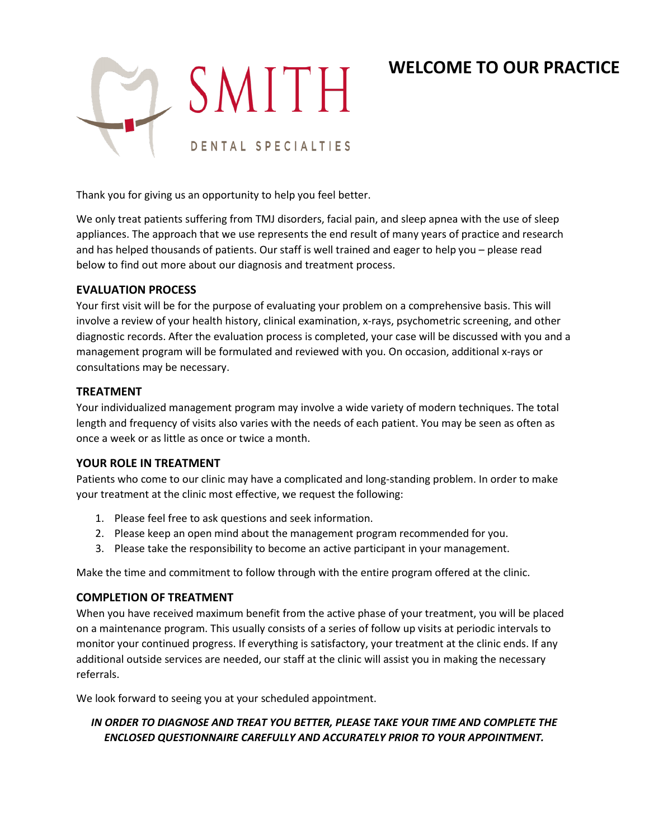# **WELCOME TO OUR PRACTICE**



Thank you for giving us an opportunity to help you feel better.

We only treat patients suffering from TMJ disorders, facial pain, and sleep apnea with the use of sleep appliances. The approach that we use represents the end result of many years of practice and research and has helped thousands of patients. Our staff is well trained and eager to help you – please read below to find out more about our diagnosis and treatment process.

### **EVALUATION PROCESS**

Your first visit will be for the purpose of evaluating your problem on a comprehensive basis. This will involve a review of your health history, clinical examination, x-rays, psychometric screening, and other diagnostic records. After the evaluation process is completed, your case will be discussed with you and a management program will be formulated and reviewed with you. On occasion, additional x-rays or consultations may be necessary.

### **TREATMENT**

Your individualized management program may involve a wide variety of modern techniques. The total length and frequency of visits also varies with the needs of each patient. You may be seen as often as once a week or as little as once or twice a month.

### **YOUR ROLE IN TREATMENT**

Patients who come to our clinic may have a complicated and long-standing problem. In order to make your treatment at the clinic most effective, we request the following:

- 1. Please feel free to ask questions and seek information.
- 2. Please keep an open mind about the management program recommended for you.
- 3. Please take the responsibility to become an active participant in your management.

Make the time and commitment to follow through with the entire program offered at the clinic.

### **COMPLETION OF TREATMENT**

When you have received maximum benefit from the active phase of your treatment, you will be placed on a maintenance program. This usually consists of a series of follow up visits at periodic intervals to monitor your continued progress. If everything is satisfactory, your treatment at the clinic ends. If any additional outside services are needed, our staff at the clinic will assist you in making the necessary referrals.

We look forward to seeing you at your scheduled appointment.

### *IN ORDER TO DIAGNOSE AND TREAT YOU BETTER, PLEASE TAKE YOUR TIME AND COMPLETE THE ENCLOSED QUESTIONNAIRE CAREFULLY AND ACCURATELY PRIOR TO YOUR APPOINTMENT.*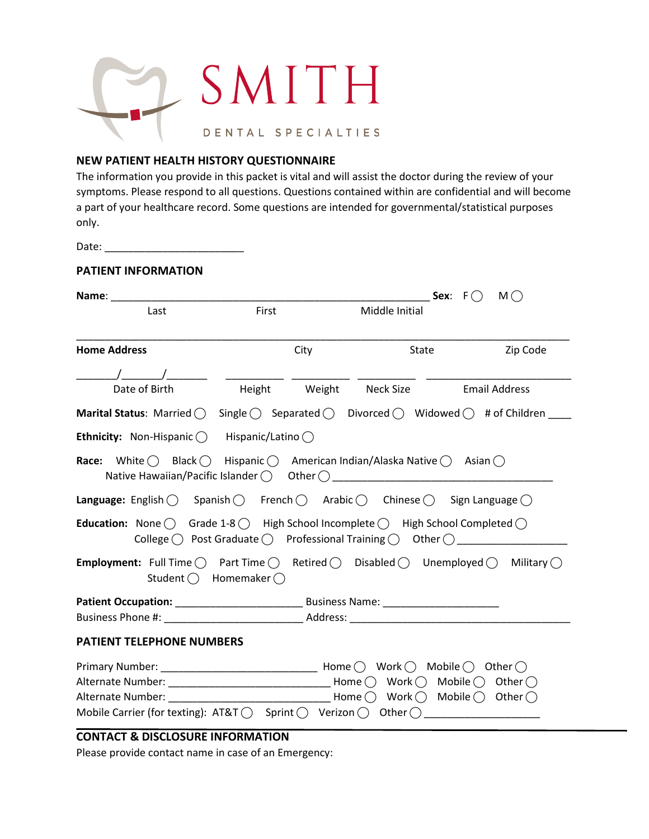

### **NEW PATIENT HEALTH HISTORY QUESTIONNAIRE**

The information you provide in this packet is vital and will assist the doctor during the review of your symptoms. Please respond to all questions. Questions contained within are confidential and will become a part of your healthcare record. Some questions are intended for governmental/statistical purposes only.

Date: \_\_\_\_\_\_\_\_\_\_\_\_\_\_\_\_\_\_\_\_\_\_\_\_

### **PATIENT INFORMATION**

|                                                                                                                                                                                       |                             |      |                                                                                                              | Sex: $F()$<br>$M($ ) |
|---------------------------------------------------------------------------------------------------------------------------------------------------------------------------------------|-----------------------------|------|--------------------------------------------------------------------------------------------------------------|----------------------|
| Last                                                                                                                                                                                  | First                       |      | Middle Initial                                                                                               |                      |
| <b>Home Address</b>                                                                                                                                                                   |                             | City | State                                                                                                        | Zip Code             |
| $\sqrt{2}$                                                                                                                                                                            |                             |      |                                                                                                              |                      |
| Date of Birth                                                                                                                                                                         |                             |      | Height Weight Neck Size                                                                                      | <b>Email Address</b> |
| <b>Marital Status:</b> Married $\bigcirc$ Single $\bigcirc$ Separated $\bigcirc$ Divorced $\bigcirc$ Widowed $\bigcirc$ # of Children                                                 |                             |      |                                                                                                              |                      |
| <b>Ethnicity:</b> Non-Hispanic $\bigcap$ Hispanic/Latino $\bigcap$                                                                                                                    |                             |      |                                                                                                              |                      |
| <b>Race:</b> White $\bigcap$ Black $\bigcap$ Hispanic $\bigcap$ American Indian/Alaska Native $\bigcap$ Asian $\bigcap$<br>Native Hawaiian/Pacific Islander $\bigcap$ Other $\bigcap$ |                             |      |                                                                                                              |                      |
| <b>Language:</b> English $\bigcirc$ Spanish $\bigcirc$ French $\bigcirc$ Arabic $\bigcirc$ Chinese $\bigcirc$ Sign Language $\bigcirc$                                                |                             |      |                                                                                                              |                      |
| <b>Education:</b> None $\bigcirc$ Grade 1-8 $\bigcirc$ High School Incomplete $\bigcirc$ High School Completed $\bigcirc$                                                             |                             |      |                                                                                                              |                      |
| <b>Employment:</b> Full Time $\bigcap$ Part Time $\bigcap$ Retired $\bigcap$ Disabled $\bigcap$ Unemployed $\bigcap$ Military $\bigcap$                                               | Student $()$ Homemaker $()$ |      |                                                                                                              |                      |
|                                                                                                                                                                                       |                             |      |                                                                                                              |                      |
|                                                                                                                                                                                       |                             |      |                                                                                                              |                      |
| <b>PATIENT TELEPHONE NUMBERS</b>                                                                                                                                                      |                             |      |                                                                                                              |                      |
| Alternate Number:<br>Mobile Carrier (for texting): AT&T $\bigcirc$ Sprint $\bigcirc$ Verizon $\bigcirc$ Other $\bigcirc$                                                              |                             |      | $\mathsf{Home} \:\bigcap\: \mathsf{Work} \:\bigcap\: \mathsf{Mobile} \:\bigcap\: \mathsf{Other} \:\bigcap\:$ |                      |

### **CONTACT & DISCLOSURE INFORMATION**

Please provide contact name in case of an Emergency: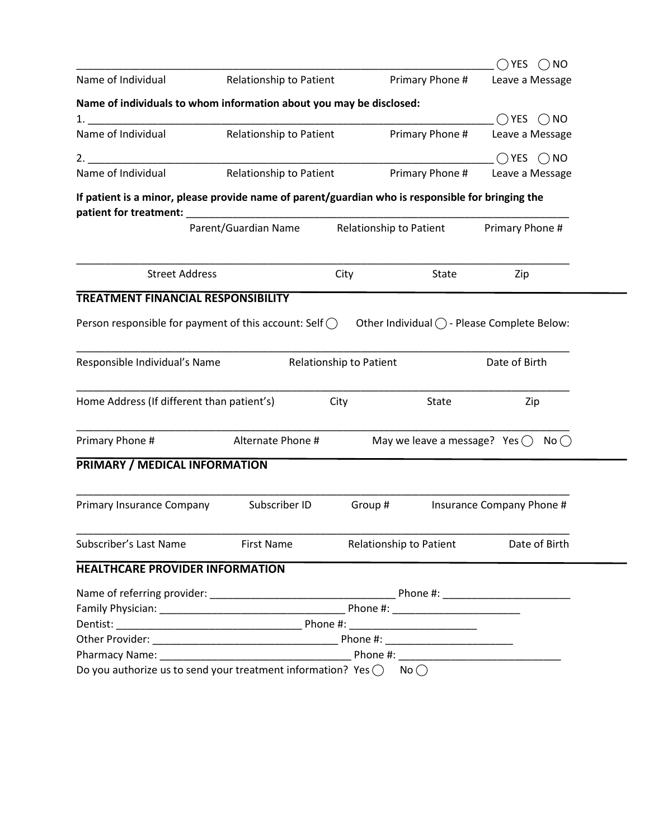|                                                                                                                                                                                                                                |                         |                         |                                        | ()YES<br>$()$ NO                                    |
|--------------------------------------------------------------------------------------------------------------------------------------------------------------------------------------------------------------------------------|-------------------------|-------------------------|----------------------------------------|-----------------------------------------------------|
| Name of Individual                                                                                                                                                                                                             | Relationship to Patient |                         | Primary Phone #                        | Leave a Message                                     |
| Name of individuals to whom information about you may be disclosed:                                                                                                                                                            |                         |                         |                                        |                                                     |
|                                                                                                                                                                                                                                |                         |                         |                                        | $\bigcap$ YES $\bigcap$ NO                          |
| Name of Individual                                                                                                                                                                                                             | Relationship to Patient |                         | Primary Phone #                        | Leave a Message                                     |
| 2.                                                                                                                                                                                                                             |                         |                         |                                        | $\bigcap$ YES $\bigcap$ NO                          |
| Name of Individual                                                                                                                                                                                                             | Relationship to Patient |                         | Primary Phone #                        | Leave a Message                                     |
| If patient is a minor, please provide name of parent/guardian who is responsible for bringing the                                                                                                                              |                         |                         |                                        |                                                     |
| patient for treatment: National Contract of the set of the set of the set of the set of the set of the set of the set of the set of the set of the set of the set of the set of the set of the set of the set of the set of th | Parent/Guardian Name    | Relationship to Patient |                                        | Primary Phone #                                     |
|                                                                                                                                                                                                                                |                         |                         |                                        |                                                     |
| <b>Street Address</b>                                                                                                                                                                                                          |                         | City                    | <b>State</b>                           | Zip                                                 |
| TREATMENT FINANCIAL RESPONSIBILITY                                                                                                                                                                                             |                         |                         |                                        |                                                     |
| Person responsible for payment of this account: Self $\bigcirc$                                                                                                                                                                |                         |                         |                                        | Other Individual $\bigcap$ - Please Complete Below: |
| Responsible Individual's Name                                                                                                                                                                                                  |                         | Relationship to Patient |                                        | Date of Birth                                       |
| Home Address (If different than patient's)                                                                                                                                                                                     |                         | City                    | <b>State</b>                           | Zip                                                 |
| Primary Phone #                                                                                                                                                                                                                | Alternate Phone #       |                         | May we leave a message? Yes $\bigcirc$ | No()                                                |
| PRIMARY / MEDICAL INFORMATION                                                                                                                                                                                                  |                         |                         |                                        |                                                     |
| Primary Insurance Company                                                                                                                                                                                                      | Subscriber ID           | Group#                  |                                        | Insurance Company Phone #                           |
| Subscriber's Last Name                                                                                                                                                                                                         | First Name              |                         | Relationship to Patient                | Date of Birth                                       |
| <b>HEALTHCARE PROVIDER INFORMATION</b>                                                                                                                                                                                         |                         |                         |                                        |                                                     |
|                                                                                                                                                                                                                                |                         |                         |                                        |                                                     |
|                                                                                                                                                                                                                                |                         |                         |                                        |                                                     |
|                                                                                                                                                                                                                                |                         |                         |                                        |                                                     |
|                                                                                                                                                                                                                                |                         |                         |                                        |                                                     |
|                                                                                                                                                                                                                                |                         |                         |                                        |                                                     |
| Do you authorize us to send your treatment information? Yes $\bigcap$ No $\bigcap$                                                                                                                                             |                         |                         |                                        |                                                     |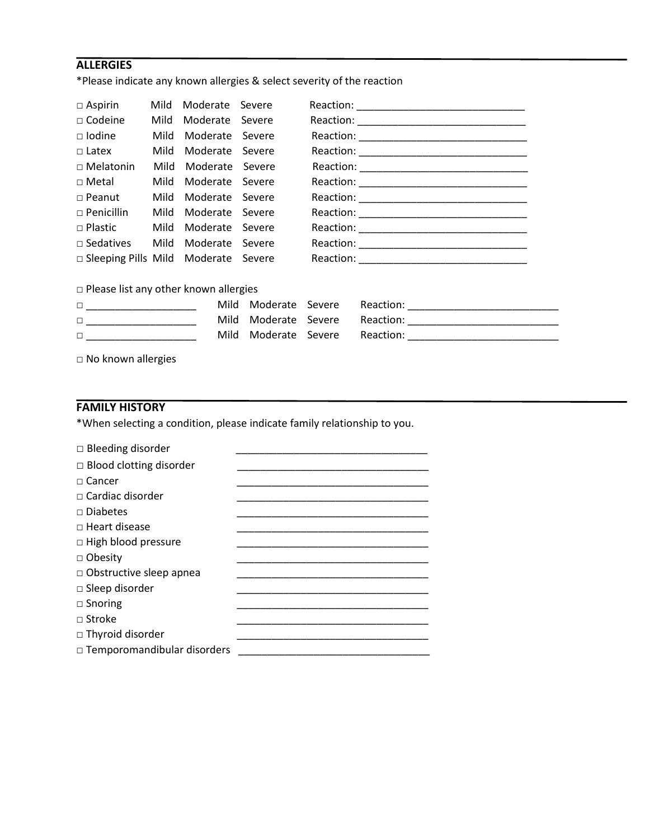# **ALLERGIES**

\*Please indicate any known allergies & select severity of the reaction

| $\Box$ Aspirin                               | Mild | Moderate Severe |                 |                                           |
|----------------------------------------------|------|-----------------|-----------------|-------------------------------------------|
| $\Box$ Codeine                               | Mild | Moderate Severe |                 |                                           |
| $\square$ Iodine                             | Mild | Moderate Severe |                 |                                           |
| $\Box$ Latex                                 | Mild | Moderate Severe |                 |                                           |
| $\Box$ Melatonin                             | Mild | Moderate Severe |                 |                                           |
| $\Box$ Metal                                 | Mild | Moderate Severe |                 |                                           |
| $\Box$ Peanut                                | Mild | Moderate Severe |                 |                                           |
| $\Box$ Penicillin                            | Mild | Moderate Severe |                 |                                           |
| $\Box$ Plastic                               | Mild | Moderate Severe |                 |                                           |
| $\Box$ Sedatives Mild                        |      | Moderate Severe |                 |                                           |
| □ Sleeping Pills Mild Moderate Severe        |      |                 |                 |                                           |
| $\Box$ Please list any other known allergies |      |                 |                 |                                           |
|                                              |      | Mild            | Moderate Severe |                                           |
|                                              |      | Mild            | Moderate Severe |                                           |
| $\Box$                                       |      | Mild            | Moderate Severe | Reaction: _______________________________ |
| $\Box$ No known allergies                    |      |                 |                 |                                           |

# **FAMILY HISTORY**

\*When selecting a condition, please indicate family relationship to you.

| $\Box$ Bleeding disorder           |  |
|------------------------------------|--|
| $\Box$ Blood clotting disorder     |  |
| $\sqcap$ Cancer                    |  |
| $\Box$ Cardiac disorder            |  |
| $\Box$ Diabetes                    |  |
| $\Box$ Heart disease               |  |
| $\Box$ High blood pressure         |  |
| □ Obesity                          |  |
| $\Box$ Obstructive sleep apnea     |  |
| $\Box$ Sleep disorder              |  |
| $\Box$ Snoring                     |  |
| $\Box$ Stroke                      |  |
| $\Box$ Thyroid disorder            |  |
| $\Box$ Temporomandibular disorders |  |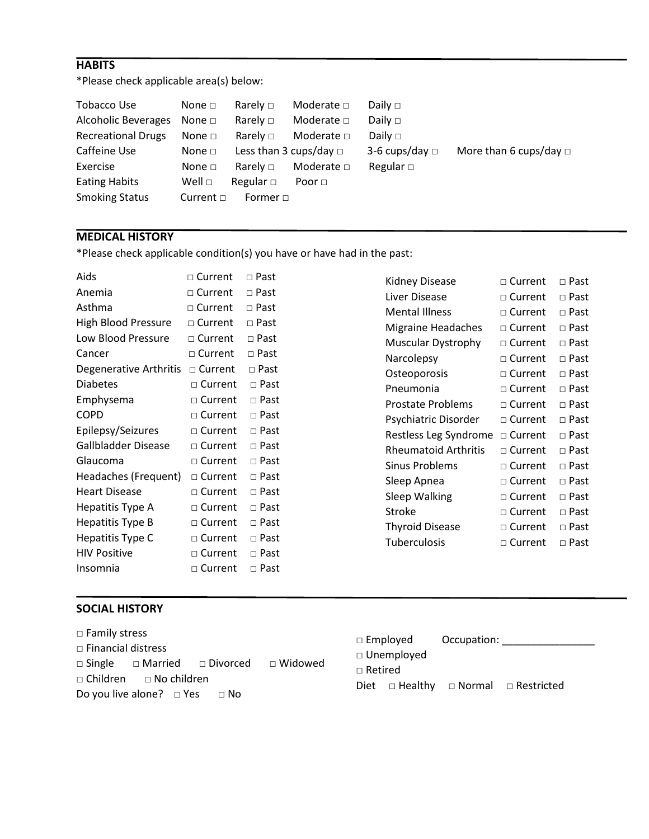# **HABITS**

\*Please check applicable area(s) below:

| Tobacco Use                | None $\square$ | Rarely $\square$ | Moderate $\square$          | Daily $\square$     |                             |
|----------------------------|----------------|------------------|-----------------------------|---------------------|-----------------------------|
| <b>Alcoholic Beverages</b> | None $\Box$    | Rarely $\Box$    | Moderate $\square$          | Daily $\Box$        |                             |
| <b>Recreational Drugs</b>  | None $\square$ | Rarely $\Box$    | Moderate $\Box$             | Daily $\square$     |                             |
| Caffeine Use               | None $\square$ |                  | Less than 3 cups/day $\Box$ | 3-6 cups/day $\Box$ | More than 6 cups/day $\Box$ |
| Exercise                   | None $\square$ | Rarely $\Box$    | Moderate $\Box$             | Regular $\Box$      |                             |
| <b>Eating Habits</b>       | Well $\Box$    | Regular $\Box$   | Poor $\Box$                 |                     |                             |
| <b>Smoking Status</b>      | Current $\Box$ | Former $\Box$    |                             |                     |                             |

## **MEDICAL HISTORY**

\*Please check applicable condition(s) you have or have had in the past:

| Aids                    | $\sqcap$ Current | $\sqcap$ Past |
|-------------------------|------------------|---------------|
| Anemia                  | $\Box$ Current   | $\sqcap$ Past |
| Asthma                  | $\sqcap$ Current | $\sqcap$ Past |
| High Blood Pressure     | $\sqcap$ Current | $\sqcap$ Past |
| Low Blood Pressure      | $\Box$ Current   | $\Box$ Past   |
| Cancer                  | $\Box$ Current   | $\sqcap$ Past |
| Degenerative Arthritis  | $\Box$ Current   | $\sqcap$ Past |
| <b>Diabetes</b>         | $\sqcap$ Current | $\sqcap$ Past |
| Emphysema               | $\sqcap$ Current | $\sqcap$ Past |
| <b>COPD</b>             | $\sqcap$ Current | $\Box$ Past   |
| Epilepsy/Seizures       | $\sqcap$ Current | $\Box$ Past   |
| Gallbladder Disease     | $\sqcap$ Current | $\sqcap$ Past |
| Glaucoma                | $\sqcap$ Current | $\sqcap$ Past |
| Headaches (Frequent)    | □ Current        | $\Box$ Past   |
| <b>Heart Disease</b>    | $\Box$ Current   | $\sqcap$ Past |
| Hepatitis Type A        | $\Box$ Current   | $\sqcap$ Past |
| <b>Hepatitis Type B</b> | □ Current        | □ Past        |
| Hepatitis Type C        | $\Box$ Current   | $\sqcap$ Past |
| <b>HIV Positive</b>     | $\sqcap$ Current | $\sqcap$ Past |
| Insomnia                | $\sqcap$ Current | $\sqcap$ Past |

| Kidney Disease            | $\sqcap$ Current | ⊓ Past        |
|---------------------------|------------------|---------------|
| Liver Disease             | $\sqcap$ Current | $\sqcap$ Past |
| <b>Mental Illness</b>     | $\sqcap$ Current | $\sqcap$ Past |
| <b>Migraine Headaches</b> | $\sqcap$ Current | $\sqcap$ Past |
| <b>Muscular Dystrophy</b> | $\sqcap$ Current | $\sqcap$ Past |
| Narcolepsy                | $\sqcap$ Current | $\sqcap$ Past |
| Osteoporosis              | $\sqcap$ Current | $\sqcap$ Past |
| Pneumonia                 | $\sqcap$ Current | $\sqcap$ Past |
| Prostate Problems         | $\sqcap$ Current | $\sqcap$ Past |
| Psychiatric Disorder      | $\sqcap$ Current | $\sqcap$ Past |
| Restless Leg Syndrome     | $\sqcap$ Current | $\Box$ Past   |
| Rheumatoid Arthritis      | $\sqcap$ Current | ⊓ Past        |
| Sinus Problems            | $\sqcap$ Current | $\sqcap$ Past |
| Sleep Apnea               | $\sqcap$ Current | $\sqcap$ Past |
| <b>Sleep Walking</b>      | $\sqcap$ Current | $\sqcap$ Past |
| Stroke                    | $\sqcap$ Current | ⊓ Past        |
| <b>Thyroid Disease</b>    | Current          | $\sqcap$ Past |
| Tuberculosis              | Current<br>п     | ⊓ Past        |

# **SOCIAL HISTORY**

| $\Box$ Family stress                                           | $\Box$ Employed<br>Occupation:                         |
|----------------------------------------------------------------|--------------------------------------------------------|
| $\Box$ Financial distress                                      | $\Box$ Unemployed                                      |
| $\Box$ Widowed<br>$\Box$ Single $\Box$ Married $\Box$ Divorced | $\Box$ Retired                                         |
| $\Box$ Children $\Box$ No children                             | $\Box$ Healthy $\Box$ Normal $\Box$ Restricted<br>Diet |
| Do you live alone? $\Box$ Yes<br>$\Box$ No                     |                                                        |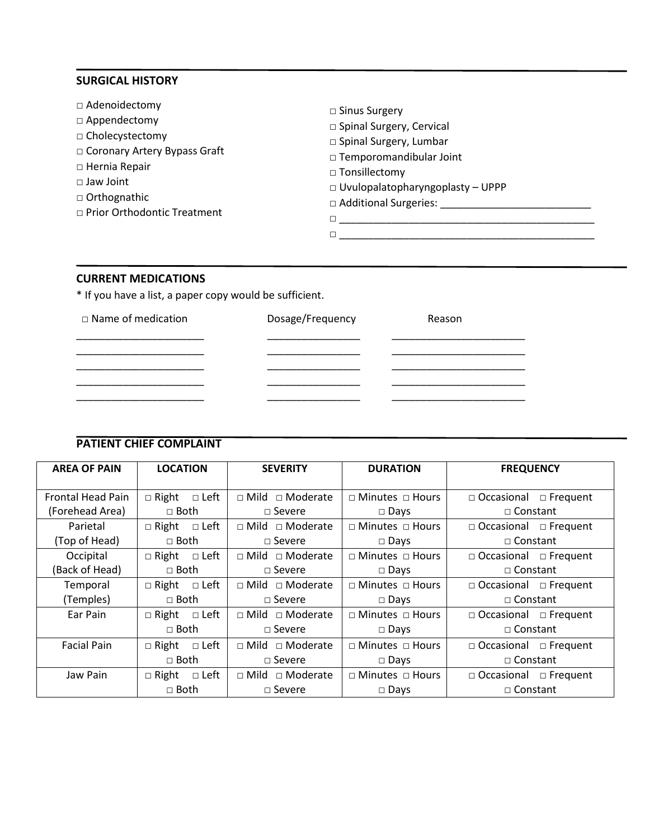### **SURGICAL HISTORY**

| $\Box$ Sinus Surgery                    |  |  |  |
|-----------------------------------------|--|--|--|
| □ Spinal Surgery, Cervical              |  |  |  |
| □ Spinal Surgery, Lumbar                |  |  |  |
| □ Temporomandibular Joint               |  |  |  |
| □ Tonsillectomy                         |  |  |  |
| $\Box$ Uvulopalatopharyngoplasty - UPPP |  |  |  |
| □ Additional Surgeries:                 |  |  |  |
|                                         |  |  |  |
|                                         |  |  |  |
|                                         |  |  |  |

### **CURRENT MEDICATIONS**

\* If you have a list, a paper copy would be sufficient.

| $\Box$ Name of medication | Dosage/Frequency | Reason |
|---------------------------|------------------|--------|
|                           |                  |        |
|                           |                  |        |
|                           |                  |        |
|                           |                  |        |

# **PATIENT CHIEF COMPLAINT**

| <b>AREA OF PAIN</b>      | <b>LOCATION</b>                | <b>SEVERITY</b>             | <b>DURATION</b>             | <b>FREQUENCY</b>                  |  |
|--------------------------|--------------------------------|-----------------------------|-----------------------------|-----------------------------------|--|
| <b>Frontal Head Pain</b> | $\Box$ Right<br>$\square$ Left | $\Box$ Mild $\Box$ Moderate | $\Box$ Minutes $\Box$ Hours | $\Box$ Occasional $\Box$ Frequent |  |
| (Forehead Area)          | $\Box$ Both                    | $\square$ Severe            | $\Box$ Days                 | $\Box$ Constant                   |  |
| Parietal                 | $\Box$ Right<br>$\square$ Left | $\Box$ Mild $\Box$ Moderate | □ Minutes □ Hours           | $\Box$ Occasional $\Box$ Frequent |  |
| (Top of Head)            | $\sqcap$ Both                  | $\Box$ Severe               | $\Box$ Days                 | □ Constant                        |  |
| Occipital                | $\Box$ Right $\Box$ Left       | $\Box$ Mild $\Box$ Moderate | □ Minutes □ Hours           | $\Box$ Occasional $\Box$ Frequent |  |
| (Back of Head)           | $\Box$ Both                    | $\sqcap$ Severe             | $\square$ Days              | $\Box$ Constant                   |  |
| Temporal                 | $\Box$ Right<br>□ Left         | $\Box$ Mild $\Box$ Moderate | $\Box$ Minutes $\Box$ Hours | $\Box$ Occasional $\Box$ Frequent |  |
| (Temples)                | $\Box$ Both                    | $\Box$ Severe               | $\Box$ Days                 | □ Constant                        |  |
| Ear Pain                 | $\Box$ Right $\Box$ Left       | $\Box$ Mild $\Box$ Moderate | $\Box$ Minutes $\Box$ Hours | $\Box$ Occasional $\Box$ Frequent |  |
|                          | $\sqcap$ Both                  | $\Box$ Severe               | $\square$ Days              | $\Box$ Constant                   |  |
| <b>Facial Pain</b>       | $\Box$ Right $\Box$ Left       | $\Box$ Mild $\Box$ Moderate | □ Minutes □ Hours           | $\Box$ Occasional $\Box$ Frequent |  |
|                          | $\Box$ Both                    | $\Box$ Severe               | $\square$ Days              | □ Constant                        |  |
| Jaw Pain                 | $\square$ Left<br>$\Box$ Right | $\Box$ Mild $\Box$ Moderate | □ Minutes □ Hours           | $\Box$ Occasional $\Box$ Frequent |  |
|                          | $\sqcap$ Both                  | $\sqcap$ Severe             | $\square$ Days              | $\Box$ Constant                   |  |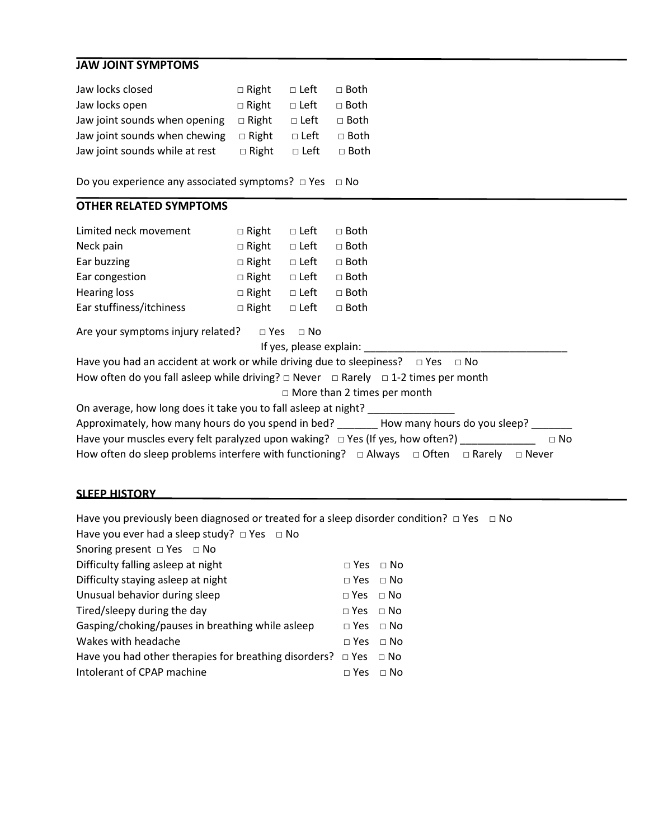# **JAW JOINT SYMPTOMS**

| Jaw locks closed               | $\Box$ Right | $\square$ Left | $\Box$ Both    |
|--------------------------------|--------------|----------------|----------------|
| Jaw locks open                 | $\Box$ Right | $\Box$ Left    | $\Box$ Both    |
| Jaw joint sounds when opening  | $\Box$ Right | $\Box$ Left    | $\Box$ Both    |
| Jaw joint sounds when chewing  | $\Box$ Right | $\Box$ Left    | $\Box$ Both    |
| Jaw joint sounds while at rest | $\Box$ Right |                | □ Left  □ Both |

Do you experience any associated symptoms? □ Yes □ No

# **OTHER RELATED SYMPTOMS**

| Limited neck movement                                                                                                                                                                          | $\Box$ Right | $\Box$ Left | $\Box$ Both                                                                                                                                                                                                      |
|------------------------------------------------------------------------------------------------------------------------------------------------------------------------------------------------|--------------|-------------|------------------------------------------------------------------------------------------------------------------------------------------------------------------------------------------------------------------|
| Neck pain                                                                                                                                                                                      | $\Box$ Right | $\Box$ Left | $\Box$ Both                                                                                                                                                                                                      |
| Ear buzzing                                                                                                                                                                                    | $\Box$ Right | $\Box$ Left | $\Box$ Both                                                                                                                                                                                                      |
| Ear congestion                                                                                                                                                                                 | $\Box$ Right | $\Box$ Left | $\Box$ Both                                                                                                                                                                                                      |
| <b>Hearing loss</b>                                                                                                                                                                            | $\Box$ Right | $\Box$ Left | $\Box$ Both                                                                                                                                                                                                      |
| Ear stuffiness/itchiness                                                                                                                                                                       | $\Box$ Right | $\Box$ Left | $\Box$ Both                                                                                                                                                                                                      |
| Are your symptoms injury related? $\Box$ Yes $\Box$ No                                                                                                                                         |              |             | If yes, please explain:                                                                                                                                                                                          |
| Have you had an accident at work or while driving due to sleepiness? $\Box$ Yes $\Box$ No<br>How often do you fall asleep while driving? $\Box$ Never $\Box$ Rarely $\Box$ 1-2 times per month |              |             |                                                                                                                                                                                                                  |
|                                                                                                                                                                                                |              |             | $\Box$ More than 2 times per month                                                                                                                                                                               |
| On average, how long does it take you to fall asleep at night?                                                                                                                                 |              |             | Approximately, how many hours do you spend in bed? How many hours do you sleep?<br>$\Box$ No<br>How often do sleep problems interfere with functioning? $\Box$ Always $\Box$ Often $\Box$ Rarely<br>$\Box$ Never |

#### **SLEEP HISTORY**

| Have you previously been diagnosed or treated for a sleep disorder condition? $\Box$ Yes $\Box$ No |                      |           |  |  |  |  |  |  |
|----------------------------------------------------------------------------------------------------|----------------------|-----------|--|--|--|--|--|--|
| Have you ever had a sleep study? $\Box$ Yes $\Box$ No                                              |                      |           |  |  |  |  |  |  |
| Snoring present $\Box$ Yes $\Box$ No                                                               |                      |           |  |  |  |  |  |  |
| Difficulty falling asleep at night                                                                 | $\Box$ Yes $\Box$ No |           |  |  |  |  |  |  |
| Difficulty staying asleep at night                                                                 | $\Box$ Yes $\Box$ No |           |  |  |  |  |  |  |
| Unusual behavior during sleep                                                                      | $\Box$ Yes $\Box$ No |           |  |  |  |  |  |  |
| Tired/sleepy during the day                                                                        | $\Box$ Yes $\Box$ No |           |  |  |  |  |  |  |
| Gasping/choking/pauses in breathing while asleep                                                   | $\Box$ Yes $\Box$ No |           |  |  |  |  |  |  |
| Wakes with headache                                                                                | $\Box$ Yes $\Box$ No |           |  |  |  |  |  |  |
| Have you had other therapies for breathing disorders? $\Box$ Yes $\Box$ No                         |                      |           |  |  |  |  |  |  |
| Intolerant of CPAP machine                                                                         | $\sqcap$ Yes         | $\Box$ No |  |  |  |  |  |  |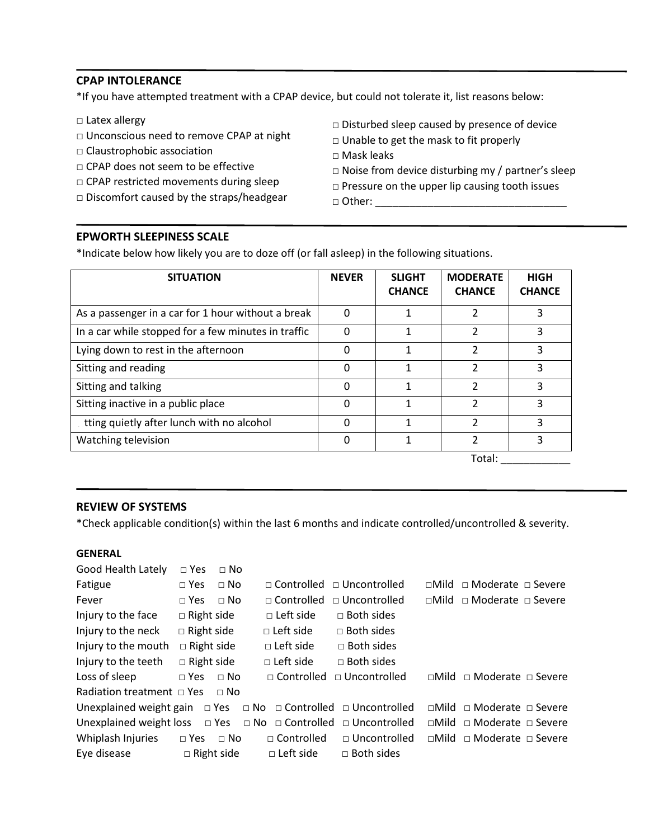### **CPAP INTOLERANCE**

\*If you have attempted treatment with a CPAP device, but could not tolerate it, list reasons below:

- □ Latex allergy
- □ Unconscious need to remove CPAP at night
- □ Claustrophobic association
- □ CPAP does not seem to be effective
- □ CPAP restricted movements during sleep
- □ Discomfort caused by the straps/headgear
- $\square$  Disturbed sleep caused by presence of device
- □ Unable to get the mask to fit properly
- □ Mask leaks
- $\square$  Noise from device disturbing my / partner's sleep
- □ Pressure on the upper lip causing tooth issues

 $\Box$  Other:  $\Box$ 

### **EPWORTH SLEEPINESS SCALE**

\*Indicate below how likely you are to doze off (or fall asleep) in the following situations.

| <b>SITUATION</b>                                    | <b>NEVER</b> | <b>SLIGHT</b><br><b>CHANCE</b> | <b>MODERATE</b><br><b>CHANCE</b> | <b>HIGH</b><br><b>CHANCE</b> |
|-----------------------------------------------------|--------------|--------------------------------|----------------------------------|------------------------------|
| As a passenger in a car for 1 hour without a break  | 0            | 1                              | 2                                | 3                            |
| In a car while stopped for a few minutes in traffic |              |                                | 2                                | 3                            |
| Lying down to rest in the afternoon                 | Ω            |                                | 2                                | ς                            |
| Sitting and reading                                 | 0            | 1                              | 2                                | 3                            |
| Sitting and talking                                 | 0            |                                | 2                                | ς                            |
| Sitting inactive in a public place                  | O            | 1                              | 2                                | 3                            |
| tting quietly after lunch with no alcohol           | U            |                                | 2                                | ς                            |
| Watching television                                 | O            | 1                              | 2                                | 3                            |
|                                                     |              |                                | $T_{0}+1$                        |                              |

Total: \_\_\_\_\_\_\_\_\_\_\_\_\_\_\_

### **REVIEW OF SYSTEMS**

\*Check applicable condition(s) within the last 6 months and indicate controlled/uncontrolled & severity.

#### **GENERAL**

| Good Health Lately                                                                 | $\Box$ Yes        | $\Box$ No   |                     |                                       |               |                                           |  |
|------------------------------------------------------------------------------------|-------------------|-------------|---------------------|---------------------------------------|---------------|-------------------------------------------|--|
| Fatigue                                                                            | $\Box$ Yes        | $\Box$ No   |                     | $\Box$ Controlled $\Box$ Uncontrolled |               | $\Box$ Mild $\Box$ Moderate $\Box$ Severe |  |
| Fever                                                                              | $\sqcap$ Yes      | $\Box$ No   | $\sqcap$ Controlled | $\Box$ Uncontrolled                   |               | $\Box$ Mild $\Box$ Moderate $\Box$ Severe |  |
| Injury to the face                                                                 | $\Box$ Right side |             | $\Box$ Left side    | $\Box$ Both sides                     |               |                                           |  |
| Injury to the neck                                                                 | $\Box$ Right side |             | $\sqcap$ Left side  | $\Box$ Both sides                     |               |                                           |  |
| Injury to the mouth                                                                | $\Box$ Right side |             | $\Box$ Left side    | $\Box$ Both sides                     |               |                                           |  |
| Injury to the teeth                                                                | $\Box$ Right side |             | $\Box$ Left side    | $\Box$ Both sides                     |               |                                           |  |
| Loss of sleep                                                                      | $\Box$ Yes        | $\Box$ No   | $\sqcap$ Controlled | $\Box$ Uncontrolled                   | $\sqcap$ Mild | $\Box$ Moderate $\Box$ Severe             |  |
| Radiation treatment $\Box$ Yes                                                     |                   | $\sqcap$ No |                     |                                       |               |                                           |  |
| Unexplained weight gain $\Box$ Yes $\Box$ No $\Box$ Controlled $\Box$ Uncontrolled |                   |             |                     |                                       |               | □Mild □ Moderate □ Severe                 |  |
| Unexplained weight loss $\Box$ Yes $\Box$ No $\Box$ Controlled $\Box$ Uncontrolled |                   |             |                     |                                       |               | $\Box$ Mild $\Box$ Moderate $\Box$ Severe |  |
| Whiplash Injuries                                                                  | $\Box$ Yes        | $\Box$ No   | □ Controlled        | $\Box$ Uncontrolled                   |               | $\Box$ Mild $\Box$ Moderate $\Box$ Severe |  |
| Eye disease                                                                        | $\Box$ Right side |             | $\Box$ Left side    | $\Box$ Both sides                     |               |                                           |  |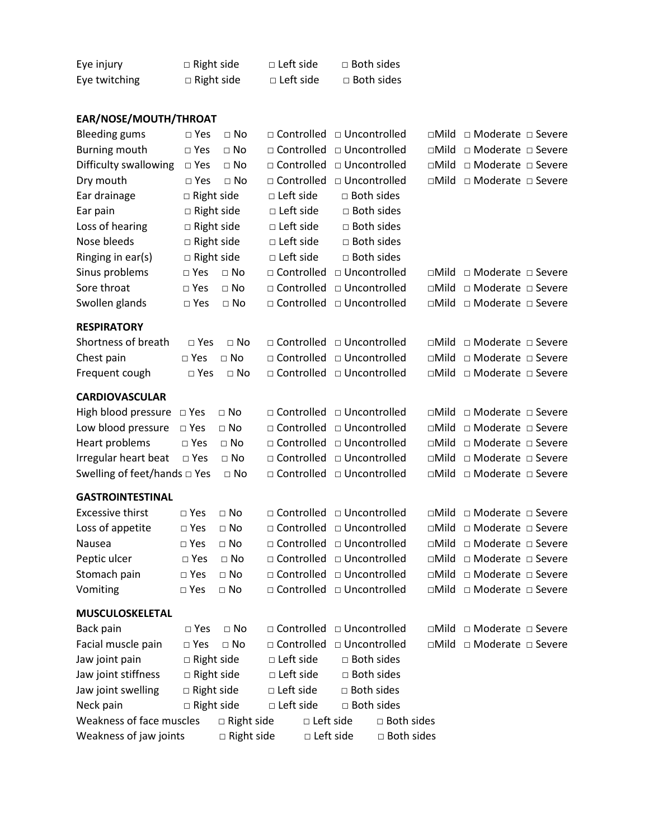| Eye injury    | $\Box$ Right side | $\Box$ Left side | $\Box$ Both sides |
|---------------|-------------------|------------------|-------------------|
| Eye twitching | $\Box$ Right side | $\Box$ Left side | □ Both sides      |

# **EAR/NOSE/MOUTH/THROAT**

| <b>Bleeding gums</b>              | $\square$ Yes     | $\Box$ No         | □ Controlled                | □ Uncontrolled |                   | $\square$ Mild | □ Moderate □ Severe       |  |
|-----------------------------------|-------------------|-------------------|-----------------------------|----------------|-------------------|----------------|---------------------------|--|
| <b>Burning mouth</b>              | $\square$ Yes     | $\square$ No      | □ Controlled                | □ Uncontrolled |                   | $\Box$ Mild    | □ Moderate □ Severe       |  |
| Difficulty swallowing             | $\Box$ Yes        | $\Box$ No         | □ Controlled                | □ Uncontrolled |                   | $\square$ Mild | □ Moderate □ Severe       |  |
| Dry mouth                         | $\square$ Yes     | $\Box$ No         | □ Controlled                | □ Uncontrolled |                   | $\square$ Mild | □ Moderate □ Severe       |  |
| Ear drainage                      | $\Box$ Right side |                   | □ Left side                 | □ Both sides   |                   |                |                           |  |
| Ear pain                          | $\Box$ Right side |                   | □ Left side                 | □ Both sides   |                   |                |                           |  |
| Loss of hearing                   | $\Box$ Right side |                   | □ Left side                 | □ Both sides   |                   |                |                           |  |
| Nose bleeds                       | $\Box$ Right side |                   | □ Left side                 | □ Both sides   |                   |                |                           |  |
| Ringing in ear(s)                 | □ Right side      |                   | □ Left side                 | □ Both sides   |                   |                |                           |  |
| Sinus problems                    | $\square$ Yes     | $\Box$ No         | □ Controlled                | □ Uncontrolled |                   | $\Box$ Mild    | □ Moderate □ Severe       |  |
| Sore throat                       | $\Box$ Yes        | $\square$ No      | □ Controlled                | □ Uncontrolled |                   | $\square$ Mild | □ Moderate □ Severe       |  |
| Swollen glands                    | $\Box$ Yes        | $\Box$ No         | □ Controlled                | □ Uncontrolled |                   | $\square$ Mild | □ Moderate □ Severe       |  |
| <b>RESPIRATORY</b>                |                   |                   |                             |                |                   |                |                           |  |
| Shortness of breath               | $\Box$ Yes        | $\Box$ No         | □ Controlled □ Uncontrolled |                |                   | $\square$ Mild | □ Moderate □ Severe       |  |
| Chest pain                        | $\square$ Yes     | $\Box$ No         | □ Controlled                | □ Uncontrolled |                   | $\square$ Mild | □ Moderate □ Severe       |  |
| Frequent cough                    | $\square$ Yes     | $\square$ No      | □ Controlled □ Uncontrolled |                |                   | $\square$ Mild | □ Moderate □ Severe       |  |
| <b>CARDIOVASCULAR</b>             |                   |                   |                             |                |                   |                |                           |  |
| High blood pressure               | $\Box$ Yes        | $\square$ No      | □ Controlled □ Uncontrolled |                |                   | $\square$ Mild | □ Moderate □ Severe       |  |
| Low blood pressure                | $\square$ Yes     | $\Box$ No         | □ Controlled                | □ Uncontrolled |                   | $\square$ Mild | □ Moderate □ Severe       |  |
| Heart problems                    | $\square$ Yes     | $\square$ No      | □ Controlled                | □ Uncontrolled |                   | $\square$ Mild | □ Moderate □ Severe       |  |
| Irregular heart beat              | $\Box$ Yes        | $\square$ No      | □ Controlled                | □ Uncontrolled |                   | $\square$ Mild | □ Moderate □ Severe       |  |
| Swelling of feet/hands $\Box$ Yes |                   | $\square$ No      | □ Controlled                | □ Uncontrolled |                   | $\square$ Mild | □ Moderate □ Severe       |  |
| <b>GASTROINTESTINAL</b>           |                   |                   |                             |                |                   |                |                           |  |
| <b>Excessive thirst</b>           | $\square$ Yes     | $\Box$ No         | □ Controlled                | □ Uncontrolled |                   | $\square$ Mild | □ Moderate □ Severe       |  |
| Loss of appetite                  | $\square$ Yes     | $\Box$ No         | □ Controlled                | □ Uncontrolled |                   | $\square$ Mild | □ Moderate □ Severe       |  |
| Nausea                            | $\square$ Yes     | $\square$ No      | □ Controlled                | □ Uncontrolled |                   | $\square$ Mild | □ Moderate □ Severe       |  |
| Peptic ulcer                      | $\Box$ Yes        | $\square$ No      | □ Controlled                | □ Uncontrolled |                   | $\square$ Mild | □ Moderate □ Severe       |  |
| Stomach pain                      | $\square$ Yes     | $\square$ No      | □ Controlled                | □ Uncontrolled |                   | $\square$ Mild | □ Moderate □ Severe       |  |
| Vomiting                          | $\Box$ Yes        | $\Box$ No         | □ Controlled                | □ Uncontrolled |                   | $\square$ Mild | □ Moderate □ Severe       |  |
| <b>MUSCULOSKELETAL</b>            |                   |                   |                             |                |                   |                |                           |  |
| Back pain                         | $\Box$ Yes        | $\square$ No      | □ Controlled                | □ Uncontrolled |                   |                | □Mild □ Moderate □ Severe |  |
| Facial muscle pain                | $\square$ Yes     | $\Box$ No         | □ Controlled                | □ Uncontrolled |                   | $\square$ Mild | □ Moderate □ Severe       |  |
| Jaw joint pain                    | $\Box$ Right side |                   | □ Left side                 | □ Both sides   |                   |                |                           |  |
| Jaw joint stiffness               | $\Box$ Right side |                   | □ Left side                 | □ Both sides   |                   |                |                           |  |
| Jaw joint swelling                | □ Right side      |                   | □ Left side                 | □ Both sides   |                   |                |                           |  |
| Neck pain                         | $\Box$ Right side |                   | □ Left side                 | □ Both sides   |                   |                |                           |  |
| Weakness of face muscles          |                   | $\Box$ Right side | □ Left side                 |                | $\Box$ Both sides |                |                           |  |
| Weakness of jaw joints            |                   | □ Right side      | □ Left side                 |                | □ Both sides      |                |                           |  |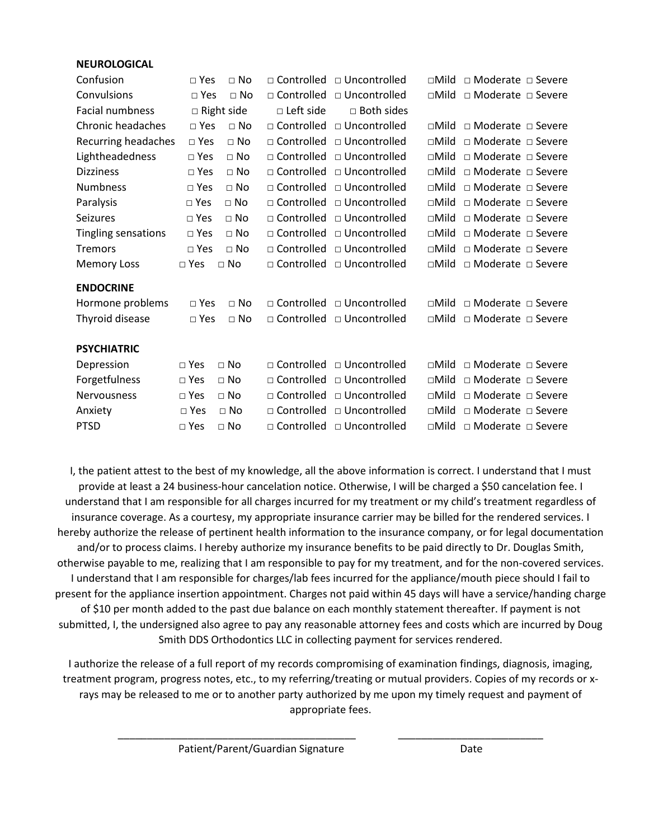| Confusion           | $\Box$ Yes    | $\Box$ No         |                   | □ Controlled □ Uncontrolled           | $\Box$ Mild    | □ Moderate □ Severe           |
|---------------------|---------------|-------------------|-------------------|---------------------------------------|----------------|-------------------------------|
| Convulsions         | $\sqcap$ Yes  | $\Box$ No         | $\Box$ Controlled | $\Box$ Uncontrolled                   | $\sqcap$ Mild  | $\Box$ Moderate $\Box$ Severe |
| Facial numbness     |               | $\Box$ Right side | $\Box$ Left side  | $\Box$ Both sides                     |                |                               |
| Chronic headaches   | $\square$ Yes | $\Box$ No         | $\Box$ Controlled | □ Uncontrolled                        | $\sqcap$ Mild  | □ Moderate □ Severe           |
| Recurring headaches | $\square$ Yes | $\Box$ No         |                   | $\Box$ Controlled $\Box$ Uncontrolled | $\square$ Mild | $\Box$ Moderate $\Box$ Severe |
| Lightheadedness     | $\Box$ Yes    | $\Box$ No         |                   | $\Box$ Controlled $\Box$ Uncontrolled | $\square$ Mild | $\Box$ Moderate $\Box$ Severe |
| <b>Dizziness</b>    | $\square$ Yes | $\Box$ No         | □ Controlled      | □ Uncontrolled                        | $\square$ Mild | $\Box$ Moderate $\Box$ Severe |
| <b>Numbness</b>     | $\square$ Yes | $\Box$ No         | $\Box$ Controlled | $\Box$ Uncontrolled                   | $\sqcap$ Mild  | □ Moderate □ Severe           |
| Paralysis           | $\square$ Yes | $\Box$ No         |                   | □ Controlled □ Uncontrolled           | $\Box$ Mild    | □ Moderate □ Severe           |
| <b>Seizures</b>     | $\square$ Yes | $\Box$ No         |                   | $\Box$ Controlled $\Box$ Uncontrolled | $\Box$ Mild    | $\Box$ Moderate $\Box$ Severe |
| Tingling sensations | $\Box$ Yes    | $\Box$ No         |                   | □ Controlled □ Uncontrolled           | $\square$ Mild | □ Moderate □ Severe           |
| <b>Tremors</b>      | $\Box$ Yes    | $\Box$ No         |                   | □ Controlled □ Uncontrolled           | $\square$ Mild | $\Box$ Moderate $\Box$ Severe |
| <b>Memory Loss</b>  | $\Box$ Yes    | $\Box$ No         |                   | □ Controlled □ Uncontrolled           | $\square$ Mild | □ Moderate □ Severe           |
| <b>ENDOCRINE</b>    |               |                   |                   |                                       |                |                               |
| Hormone problems    | $\Box$ Yes    | $\Box$ No         |                   | □ Controlled □ Uncontrolled           | $\sqcap$ Mild  | □ Moderate □ Severe           |
| Thyroid disease     | $\square$ Yes | $\square$ No      |                   | □ Controlled □ Uncontrolled           | $\square$ Mild | $\Box$ Moderate $\Box$ Severe |
| <b>PSYCHIATRIC</b>  |               |                   |                   |                                       |                |                               |
| Depression          | $\Box$ Yes    | $\Box$ No         |                   | □ Controlled □ Uncontrolled           | $\sqcap$ Mild  | $\Box$ Moderate $\Box$ Severe |
| Forgetfulness       | □ Yes         | $\Box$ No         | □ Controlled      | □ Uncontrolled                        | $\square$ Mild | $\Box$ Moderate $\Box$ Severe |
| <b>Nervousness</b>  | $\square$ Yes | $\Box$ No         | □ Controlled      | □ Uncontrolled                        | $\Box$ Mild    | □ Moderate □ Severe           |
| Anxiety             | $\square$ Yes | $\Box$ No         | □ Controlled      | □ Uncontrolled                        | $\Box$ Mild    | $\Box$ Moderate $\Box$ Severe |
| <b>PTSD</b>         | $\square$ Yes | $\Box$ No         |                   | □ Controlled □ Uncontrolled           | $\Box$ Mild    | □ Moderate □ Severe           |

I, the patient attest to the best of my knowledge, all the above information is correct. I understand that I must provide at least a 24 business-hour cancelation notice. Otherwise, I will be charged a \$50 cancelation fee. I understand that I am responsible for all charges incurred for my treatment or my child's treatment regardless of insurance coverage. As a courtesy, my appropriate insurance carrier may be billed for the rendered services. I hereby authorize the release of pertinent health information to the insurance company, or for legal documentation and/or to process claims. I hereby authorize my insurance benefits to be paid directly to Dr. Douglas Smith, otherwise payable to me, realizing that I am responsible to pay for my treatment, and for the non-covered services. I understand that I am responsible for charges/lab fees incurred for the appliance/mouth piece should I fail to present for the appliance insertion appointment. Charges not paid within 45 days will have a service/handing charge of \$10 per month added to the past due balance on each monthly statement thereafter. If payment is not submitted, I, the undersigned also agree to pay any reasonable attorney fees and costs which are incurred by Doug Smith DDS Orthodontics LLC in collecting payment for services rendered.

I authorize the release of a full report of my records compromising of examination findings, diagnosis, imaging, treatment program, progress notes, etc., to my referring/treating or mutual providers. Copies of my records or xrays may be released to me or to another party authorized by me upon my timely request and payment of appropriate fees.

\_\_\_\_\_\_\_\_\_\_\_\_\_\_\_\_\_\_\_\_\_\_\_\_\_\_\_\_\_\_\_\_\_\_\_\_\_\_\_\_\_ \_\_\_\_\_\_\_\_\_\_\_\_\_\_\_\_\_\_\_\_\_\_\_\_\_

Patient/Parent/Guardian Signature **Constanting Construction** Date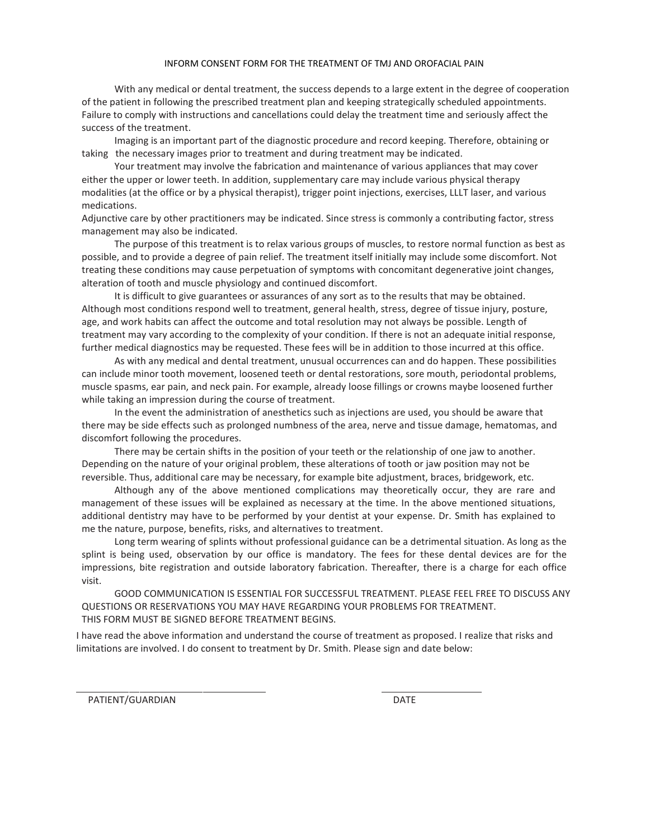#### INFORM CONSENT FORM FOR THE TREATMENT OF TMJ AND OROFACIAL PAIN

With any medical or dental treatment, the success depends to a large extent in the degree of cooperation of the patient in following the prescribed treatment plan and keeping strategically scheduled appointments. Failure to comply with instructions and cancellations could delay the treatment time and seriously affect the success of the treatment.

Imaging is an important part of the diagnostic procedure and record keeping. Therefore, obtaining or taking the necessary images prior to treatment and during treatment may be indicated.

Your treatment may involve the fabrication and maintenance of various appliances that may cover either the upper or lower teeth. In addition, supplementary care may include various physical therapy modalities (at the office or by a physical therapist), trigger point injections, exercises, LLLT laser, and various medications.

Adjunctive care by other practitioners may be indicated. Since stress is commonly a contributing factor, stress management may also be indicated.

The purpose of this treatment is to relax various groups of muscles, to restore normal function as best as possible, and to provide a degree of pain relief. The treatment itself initially may include some discomfort. Not treating these conditions may cause perpetuation of symptoms with concomitant degenerative joint changes, alteration of tooth and muscle physiology and continued discomfort.

It is difficult to give guarantees or assurances of any sort as to the results that may be obtained. Although most conditions respond well to treatment, general health, stress, degree of tissue injury, posture, age, and work habits can affect the outcome and total resolution may not always be possible. Length of treatment may vary according to the complexity of your condition. If there is not an adequate initial response, further medical diagnostics may be requested. These fees will be in addition to those incurred at this office.

As with any medical and dental treatment, unusual occurrences can and do happen. These possibilities can include minor tooth movement, loosened teeth or dental restorations, sore mouth, periodontal problems, muscle spasms, ear pain, and neck pain. For example, already loose fillings or crowns maybe loosened further while taking an impression during the course of treatment.

In the event the administration of anesthetics such as injections are used, you should be aware that there may be side effects such as prolonged numbness of the area, nerve and tissue damage, hematomas, and discomfort following the procedures.

There may be certain shifts in the position of your teeth or the relationship of one jaw to another. Depending on the nature of your original problem, these alterations of tooth or jaw position may not be reversible. Thus, additional care may be necessary, for example bite adjustment, braces, bridgework, etc.

Although any of the above mentioned complications may theoretically occur, they are rare and management of these issues will be explained as necessary at the time. In the above mentioned situations, additional dentistry may have to be performed by your dentist at your expense. Dr. Smith has explained to me the nature, purpose, benefits, risks, and alternatives to treatment.

Long term wearing of splints without professional guidance can be a detrimental situation. As long as the splint is being used, observation by our office is mandatory. The fees for these dental devices are for the impressions, bite registration and outside laboratory fabrication. Thereafter, there is a charge for each office visit.

GOOD COMMUNICATION IS ESSENTIAL FOR SUCCESSFUL TREATMENT. PLEASE FEEL FREE TO DISCUSS ANY QUESTIONS OR RESERVATIONS YOU MAY HAVE REGARDING YOUR PROBLEMS FOR TREATMENT. THIS FORM MUST BE SIGNED BEFORE TREATMENT BEGINS.

I have read the above information and understand the course of treatment as proposed. I realize that risks and limitations are involved. I do consent to treatment by Dr. Smith. Please sign and date below:

PATIENT/GUARDIAN DATE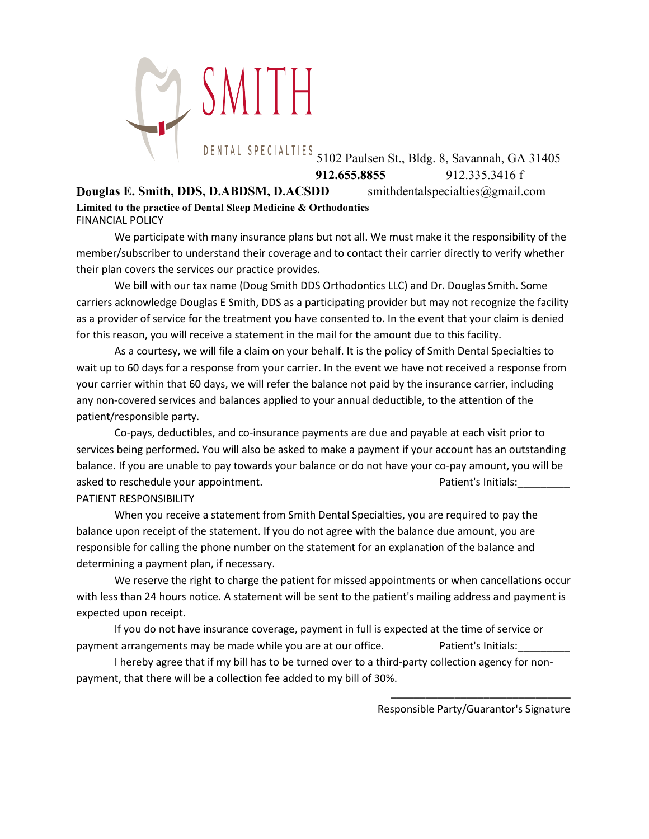

DENTAL SPECIALTIES 5102 Paulsen St., Bldg. 8, Savannah, GA 31405 **912.655.8855** 912.335.3416 f

**Douglas E. Smith, DDS, D.ABDSM, D.ACSDD** smithdentalspecialties@gmail.com **Limited to the practice of Dental Sleep Medicine & Orthodontics** FINANCIAL POLICY

We participate with many insurance plans but not all. We must make it the responsibility of the member/subscriber to understand their coverage and to contact their carrier directly to verify whether their plan covers the services our practice provides.

We bill with our tax name (Doug Smith DDS Orthodontics LLC) and Dr. Douglas Smith. Some carriers acknowledge Douglas E Smith, DDS as a participating provider but may not recognize the facility as a provider of service for the treatment you have consented to. In the event that your claim is denied for this reason, you will receive a statement in the mail for the amount due to this facility.

As a courtesy, we will file a claim on your behalf. It is the policy of Smith Dental Specialties to wait up to 60 days for a response from your carrier. In the event we have not received a response from your carrier within that 60 days, we will refer the balance not paid by the insurance carrier, including any non-covered services and balances applied to your annual deductible, to the attention of the patient/responsible party.

Co-pays, deductibles, and co-insurance payments are due and payable at each visit prior to services being performed. You will also be asked to make a payment if your account has an outstanding balance. If you are unable to pay towards your balance or do not have your co-pay amount, you will be asked to reschedule your appointment. The patient's latent's Initials: PATIENT RESPONSIBILITY

When you receive a statement from Smith Dental Specialties, you are required to pay the balance upon receipt of the statement. If you do not agree with the balance due amount, you are responsible for calling the phone number on the statement for an explanation of the balance and determining a payment plan, if necessary.

We reserve the right to charge the patient for missed appointments or when cancellations occur with less than 24 hours notice. A statement will be sent to the patient's mailing address and payment is expected upon receipt.

If you do not have insurance coverage, payment in full is expected at the time of service or payment arrangements may be made while you are at our office. Patient's Initials:

I hereby agree that if my bill has to be turned over to a third-party collection agency for nonpayment, that there will be a collection fee added to my bill of 30%.

> $\frac{1}{\sqrt{2}}$  ,  $\frac{1}{\sqrt{2}}$  ,  $\frac{1}{\sqrt{2}}$  ,  $\frac{1}{\sqrt{2}}$  ,  $\frac{1}{\sqrt{2}}$  ,  $\frac{1}{\sqrt{2}}$  ,  $\frac{1}{\sqrt{2}}$  ,  $\frac{1}{\sqrt{2}}$  ,  $\frac{1}{\sqrt{2}}$  ,  $\frac{1}{\sqrt{2}}$  ,  $\frac{1}{\sqrt{2}}$  ,  $\frac{1}{\sqrt{2}}$  ,  $\frac{1}{\sqrt{2}}$  ,  $\frac{1}{\sqrt{2}}$  ,  $\frac{1}{\sqrt{2}}$ Responsible Party/Guarantor's Signature